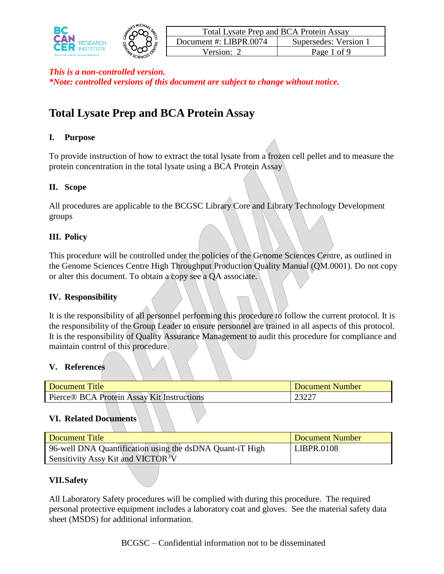

# **Total Lysate Prep and BCA Protein Assay**

## **I. Purpose**

To provide instruction of how to extract the total lysate from a frozen cell pellet and to measure the protein concentration in the total lysate using a BCA Protein Assay

## **II. Scope**

All procedures are applicable to the BCGSC Library Core and Library Technology Development groups

### **III. Policy**

This procedure will be controlled under the policies of the Genome Sciences Centre, as outlined in the Genome Sciences Centre High Throughput Production Quality Manual (QM.0001). Do not copy or alter this document. To obtain a copy see a QA associate.

### **IV. Responsibility**

It is the responsibility of all personnel performing this procedure to follow the current protocol. It is the responsibility of the Group Leader to ensure personnel are trained in all aspects of this protocol. It is the responsibility of Quality Assurance Management to audit this procedure for compliance and maintain control of this procedure.

### **V. References**

| Document Title                             |  |  |  | Document Number |
|--------------------------------------------|--|--|--|-----------------|
| Pierce® BCA Protein Assay Kit Instructions |  |  |  | 2322 -          |

### **VI. Related Documents**

| Document Title                                           | Document Number   |
|----------------------------------------------------------|-------------------|
| 96-well DNA Quantification using the dsDNA Quant-iT High | <b>LIBPR.0108</b> |
| Sensitivity Assy Kit and VICTOR <sup>3</sup> V           |                   |

## **VII.Safety**

All Laboratory Safety procedures will be complied with during this procedure. The required personal protective equipment includes a laboratory coat and gloves. See the material safety data sheet (MSDS) for additional information.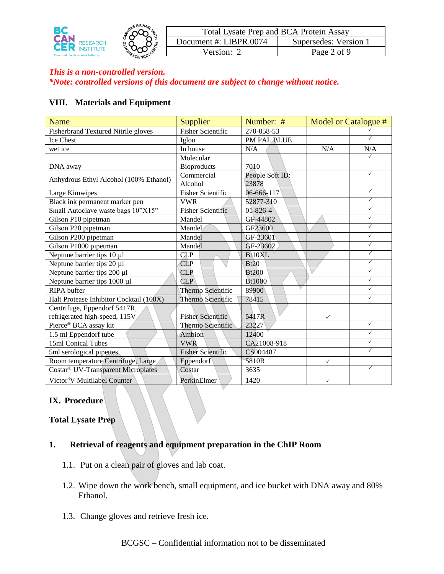

#### **VIII. Materials and Equipment**

| <b>Name</b>                                    | <b>Supplier</b>          | Number: #       | Model or Catalogue # |              |
|------------------------------------------------|--------------------------|-----------------|----------------------|--------------|
| <b>Fisherbrand Textured Nitrile gloves</b>     | <b>Fisher Scientific</b> | 270-058-53      |                      |              |
| Ice Chest                                      | Igloo                    | PM PAL BLUE     |                      | ✓            |
| wet ice                                        | In house                 | N/A             | N/A                  | N/A          |
|                                                | Molecular                |                 |                      | ✓            |
| DNA away                                       | <b>Bioproducts</b>       | 7010            |                      |              |
| Anhydrous Ethyl Alcohol (100% Ethanol)         | Commercial               | People Soft ID: |                      | ✓            |
|                                                | Alcohol                  | 23878           |                      |              |
| Large Kimwipes                                 | <b>Fisher Scientific</b> | 06-666-117      |                      | $\checkmark$ |
| Black ink permanent marker pen                 | <b>VWR</b>               | 52877-310       |                      | $\checkmark$ |
| Small Autoclave waste bags 10"X15"             | <b>Fisher Scientific</b> | $01 - 826 - 4$  |                      | $\checkmark$ |
| Gilson P10 pipetman                            | Mandel                   | GF-44802        |                      | $\checkmark$ |
| Gilson P20 pipetman                            | Mandel                   | GF23600         |                      | $\checkmark$ |
| Gilson P200 pipetman                           | Mandel                   | GF-23601        |                      | $\checkmark$ |
| Gilson P1000 pipetman                          | Mandel                   | GF-23602        |                      | $\checkmark$ |
| Neptune barrier tips 10 µ1                     | <b>CLP</b>               | Bt10XL          |                      | $\checkmark$ |
| Neptune barrier tips 20 µ1                     | CLP                      | Bt20            |                      | $\checkmark$ |
| Neptune barrier tips 200 µ1                    | <b>CLP</b>               | <b>Bt200</b>    |                      | $\checkmark$ |
| Neptune barrier tips 1000 µ1                   | <b>CLP</b>               | Bt1000          |                      | $\checkmark$ |
| <b>RIPA</b> buffer                             | Thermo Scientific        | 89900           |                      | ✓            |
| Halt Protease Inhibitor Cocktail (100X)        | Thermo Scientific        | 78415           |                      | $\checkmark$ |
| Centrifuge, Eppendorf 5417R,                   |                          |                 |                      |              |
| refrigerated high-speed, 115V                  | <b>Fisher Scientific</b> | 5417R           | $\checkmark$         |              |
| Pierce® BCA assay kit                          | Thermo Scientific        | 23227           |                      | ✓            |
| 1.5 ml Eppendorf tube                          | Ambion                   | 12400           |                      | $\checkmark$ |
| 15ml Conical Tubes                             | <b>VWR</b>               | CA21008-918     |                      | ✓            |
| 5ml serological pipettes.                      | <b>Fisher Scientific</b> | CS004487        |                      | ✓            |
| Room temperature Centrifuge, Large             | Eppendorf                | 5810R           | $\checkmark$         |              |
| Costar <sup>®</sup> UV-Transparent Microplates | Costar                   | 3635            |                      | $\checkmark$ |
| Victor <sup>3</sup> V Multilabel Counter       | PerkinElmer              | 1420            | $\checkmark$         |              |

## **IX. Procedure**

#### **Total Lysate Prep**

### **1. Retrieval of reagents and equipment preparation in the ChIP Room**

- 1.1. Put on a clean pair of gloves and lab coat.
- 1.2. Wipe down the work bench, small equipment, and ice bucket with DNA away and 80% Ethanol.
- 1.3. Change gloves and retrieve fresh ice.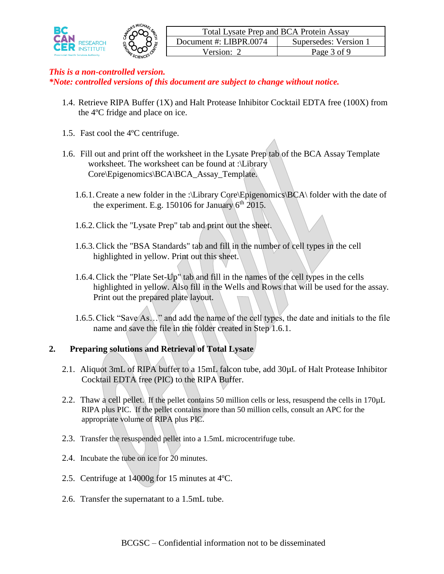

- 1.4. Retrieve RIPA Buffer (1X) and Halt Protease Inhibitor Cocktail EDTA free (100X) from the 4ºC fridge and place on ice.
- 1.5. Fast cool the 4ºC centrifuge.
- 1.6. Fill out and print off the worksheet in the Lysate Prep tab of the BCA Assay Template worksheet. The worksheet can be found at :\Library Core\Epigenomics\BCA\BCA\_Assay\_Template.
	- 1.6.1.Create a new folder in the :\Library Core\Epigenomics\BCA\ folder with the date of the experiment. E.g. 150106 for January  $6<sup>th</sup>$  2015.
	- 1.6.2.Click the "Lysate Prep" tab and print out the sheet.
	- 1.6.3.Click the "BSA Standards" tab and fill in the number of cell types in the cell highlighted in yellow. Print out this sheet.
	- 1.6.4.Click the "Plate Set-Up" tab and fill in the names of the cell types in the cells highlighted in yellow. Also fill in the Wells and Rows that will be used for the assay. Print out the prepared plate layout.
	- 1.6.5.Click "Save As…" and add the name of the cell types, the date and initials to the file name and save the file in the folder created in Step 1.6.1.

### **2. Preparing solutions and Retrieval of Total Lysate**

- 2.1. Aliquot 3mL of RIPA buffer to a 15mL falcon tube, add 30 $\mu$ L of Halt Protease Inhibitor Cocktail EDTA free (PIC) to the RIPA Buffer.
- 2.2. Thaw a cell pellet. If the pellet contains 50 million cells or less, resuspend the cells in 170µL RIPA plus PIC. If the pellet contains more than 50 million cells, consult an APC for the appropriate volume of RIPA plus PIC.
- 2.3. Transfer the resuspended pellet into a 1.5mL microcentrifuge tube.
- 2.4. Incubate the tube on ice for 20 minutes.
- 2.5. Centrifuge at 14000g for 15 minutes at 4ºC.
- 2.6. Transfer the supernatant to a 1.5mL tube.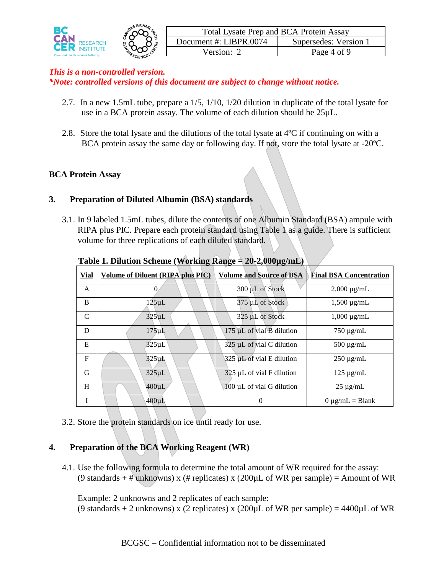

- 2.7. In a new 1.5mL tube, prepare a 1/5, 1/10, 1/20 dilution in duplicate of the total lysate for use in a BCA protein assay. The volume of each dilution should be 25µL.
- 2.8. Store the total lysate and the dilutions of the total lysate at 4ºC if continuing on with a BCA protein assay the same day or following day. If not, store the total lysate at -20ºC.

## **BCA Protein Assay**

### **3. Preparation of Diluted Albumin (BSA) standards**

3.1. In 9 labeled 1.5mL tubes, dilute the contents of one Albumin Standard (BSA) ampule with RIPA plus PIC. Prepare each protein standard using Table 1 as a guide. There is sufficient volume for three replications of each diluted standard.

| <b>Vial</b> | Volume of Diluent (RIPA plus PIC) | <b>Volume and Source of BSA</b>             | <b>Final BSA Concentration</b> |
|-------------|-----------------------------------|---------------------------------------------|--------------------------------|
| A           | 0                                 | 300 µL of Stock                             | $2,000 \mu g/mL$               |
| B           | $125 \mu L$                       | 375 µL of Stock                             | $1,500 \mu g/mL$               |
| C           | $325 \mu L$                       | 325 µL of Stock                             | $1,000 \mu$ g/mL               |
| D           | $175 \mu L$                       | $175 \mu L$ of vial $\overline{B}$ dilution | $750 \mu g/mL$                 |
| E           | $325 \mu L$                       | 325 µL of vial C dilution                   | $500 \mu g/mL$                 |
| F           | $325 \mu L$                       | 325 µL of vial E dilution                   | $250 \mu g/mL$                 |
| G           | $325 \mu L$                       | $325 \mu L$ of vial F dilution              | $125 \mu g/mL$                 |
| H           | $400 \mu L$                       | $100 \mu L$ of vial G dilution              | $25 \mu g/mL$                  |
|             | $400 \mu L$                       | $\theta$                                    | $0 \mu$ g/mL = Blank           |

#### **Table 1. Dilution Scheme (Working Range = 20-2,000µg/mL)**

3.2. Store the protein standards on ice until ready for use.

### **4. Preparation of the BCA Working Reagent (WR)**

4.1. Use the following formula to determine the total amount of WR required for the assay: (9 standards + # unknowns) x (# replicates) x (200 $\mu$ L of WR per sample) = Amount of WR

Example: 2 unknowns and 2 replicates of each sample:

(9 standards + 2 unknowns) x (2 replicates) x (200 $\mu$ L of WR per sample) = 4400 $\mu$ L of WR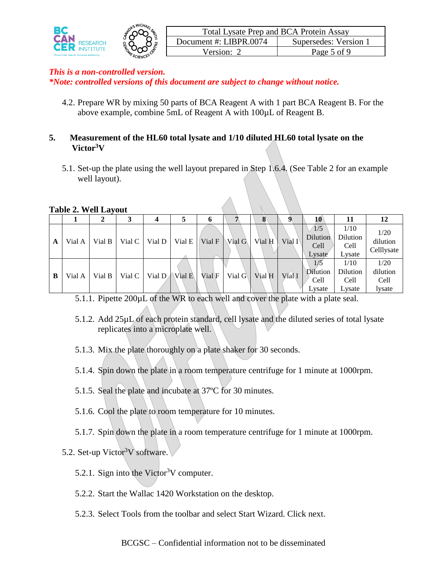

4.2. Prepare WR by mixing 50 parts of BCA Reagent A with 1 part BCA Reagent B. For the above example, combine 5mL of Reagent A with 100µL of Reagent B.

### **5. Measurement of the HL60 total lysate and 1/10 diluted HL60 total lysate on the Victor<sup>3</sup>V**

5.1. Set-up the plate using the well layout prepared in Step 1.6.4. (See Table 2 for an example well layout).

#### **Table 2. Well Layout**

|   |        |        |                    |                   |                 | o      |                   | o        |                   | 10                                       | 11                                 | 12                                 |
|---|--------|--------|--------------------|-------------------|-----------------|--------|-------------------|----------|-------------------|------------------------------------------|------------------------------------|------------------------------------|
| A | Vial A | Vial B | Vial C             |                   | Vial $D$ Vial E |        | Vial $F \ Nial G$ | Vial $H$ | Vial I            | 1/5<br><b>Dilution</b><br>Cell<br>Lysate | 1/10<br>Dilution<br>Cell<br>Lysate | 1/20<br>dilution<br>Celllysate     |
| B | Vial A | Vial B | Vial $C \parallel$ | Vial $D$ Vial $E$ |                 | Vial F | Vial $G$          | Vial $H$ | Vial <sub>I</sub> | Dilution<br>Cell<br>Lysate               | 1/10<br>Dilution<br>Cell<br>Lysate | 1/20<br>dilution<br>Cell<br>lysate |

5.1.1. Pipette 200µL of the WR to each well and cover the plate with a plate seal.

- 5.1.2. Add 25µL of each protein standard, cell lysate and the diluted series of total lysate replicates into a microplate well.
- 5.1.3. Mix the plate thoroughly on a plate shaker for 30 seconds.
- 5.1.4. Spin down the plate in a room temperature centrifuge for 1 minute at 1000rpm.
- 5.1.5. Seal the plate and incubate at 37ºC for 30 minutes.
- 5.1.6. Cool the plate to room temperature for 10 minutes.
- 5.1.7. Spin down the plate in a room temperature centrifuge for 1 minute at 1000rpm.

# 5.2. Set-up Victor<sup>3</sup>V software.

- 5.2.1. Sign into the Victor<sup>3</sup>V computer.
- 5.2.2. Start the Wallac 1420 Workstation on the desktop.
- 5.2.3. Select Tools from the toolbar and select Start Wizard. Click next.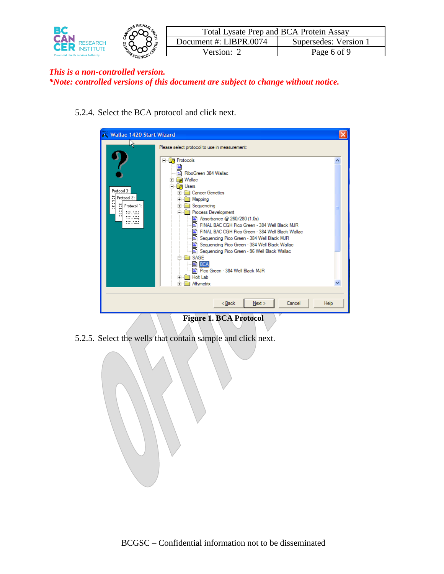

5.2.4. Select the BCA protocol and click next.

| Wallac 1420 Start Wizard                                                                                                            |                                                                                                                                                                                                                                                                                                                                                                                                                                                                                                                                                                                                                                                                                                             |             |
|-------------------------------------------------------------------------------------------------------------------------------------|-------------------------------------------------------------------------------------------------------------------------------------------------------------------------------------------------------------------------------------------------------------------------------------------------------------------------------------------------------------------------------------------------------------------------------------------------------------------------------------------------------------------------------------------------------------------------------------------------------------------------------------------------------------------------------------------------------------|-------------|
| Protocol 3:<br>Protocol 2:<br>Protocol 1:<br>ы<br>Lass a or r<br>. <b>.</b><br><b>FARA 5 16 8</b><br>Lass a rele<br><b>THE RAIL</b> | Please select protocol to use in measurement:<br><b>Protocols</b><br>--<br>国<br>lla RiboGreen 384 Wallac<br><b>R</b> Wallac<br>$\blacksquare$<br><b>Users</b><br>×<br><b>Cancer Genetics</b><br>$\overline{+}$<br>Mapping<br>$+$<br>Sequencing<br>$\overline{+}$<br>Process Development<br>⊟<br>Absorbance @ 260/280 (1.0s)<br>FINAL BAC CGH Pico Green - 384 Well Black MJR<br>le i<br>FINAL BAC CGH Pico Green - 384 Well Black Wallac<br>e.<br>Sequencing Pico Green - 384 Well Black MJR<br>Sequencing Pico Green - 384 Well Black Wallac<br>Sequencing Pico Green - 96 Well Black Wallac<br>SAGE<br>国 BCA<br>া Pico Green - 384 Well Black MJR<br><b>Holt Lab</b><br>$\overline{+}$<br>Affymetrix<br>Ė |             |
|                                                                                                                                     | < Back<br>Cancel<br>Next >                                                                                                                                                                                                                                                                                                                                                                                                                                                                                                                                                                                                                                                                                  | <b>Help</b> |

**Figure 1. BCA Protocol**

5.2.5. Select the wells that contain sample and click next.

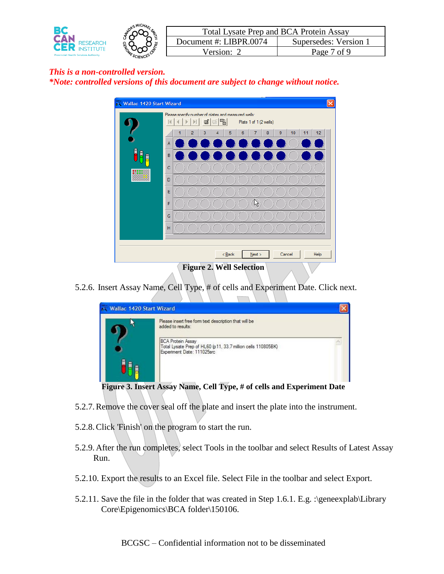



5.2.6. Insert Assay Name, Cell Type, # of cells and Experiment Date. Click next.



**Figure 3. Insert Assay Name, Cell Type, # of cells and Experiment Date**

- 5.2.7.Remove the cover seal off the plate and insert the plate into the instrument.
- 5.2.8.Click 'Finish' on the program to start the run.
- 5.2.9. After the run completes, select Tools in the toolbar and select Results of Latest Assay Run.
- 5.2.10. Export the results to an Excel file. Select File in the toolbar and select Export.
- 5.2.11. Save the file in the folder that was created in Step 1.6.1. E.g. :\geneexplab\Library Core\Epigenomics\BCA folder\150106.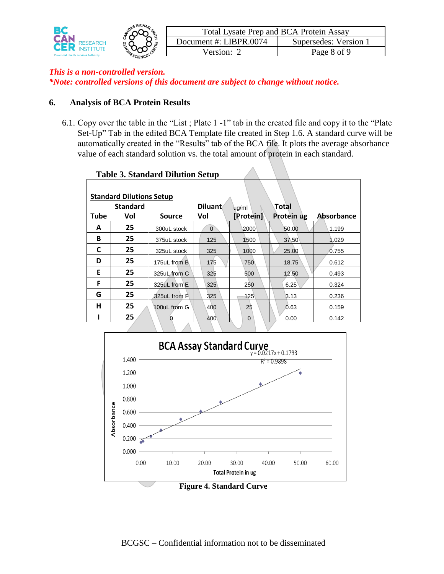

#### **6. Analysis of BCA Protein Results**

6.1. Copy over the table in the "List ; Plate 1 -1" tab in the created file and copy it to the "Plate Set-Up" Tab in the edited BCA Template file created in Step 1.6. A standard curve will be automatically created in the "Results" tab of the BCA file. It plots the average absorbance value of each standard solution vs. the total amount of protein in each standard.

|                                 |                 | 1 après de pennant a B navion petap |                |             |            |            |  |  |  |
|---------------------------------|-----------------|-------------------------------------|----------------|-------------|------------|------------|--|--|--|
|                                 |                 |                                     |                |             |            |            |  |  |  |
| <b>Standard Dilutions Setup</b> |                 |                                     |                |             |            |            |  |  |  |
|                                 | <b>Standard</b> |                                     | <b>Diluant</b> | ug/ml       | Total      |            |  |  |  |
| <b>Tube</b>                     | Vol             | <b>Source</b>                       | Vol            | [Protein]   | Protein ug | Absorbance |  |  |  |
| A                               | 25              | 300uL stock                         | $\overline{0}$ | 2000        | 50.00      | 1.199      |  |  |  |
| В                               | 25              | 375uL stock                         | 125            | 1500        | 37.50      | 1.029      |  |  |  |
| C                               | 25              | 325uL stock                         | 325            | 1000        | 25.00      | 0.755      |  |  |  |
| D                               | 25              | 175uL from B                        | 175            | 750         | 18.75      | 0.612      |  |  |  |
| E                               | 25              | 325uL from C                        | 325            | 500         | 12.50      | 0.493      |  |  |  |
| F                               | 25              | 325uL from E                        | 325            | 250         | 6.25       | 0.324      |  |  |  |
| G                               | 25              | 325uL from F                        | 325            | 125         | 3.13       | 0.236      |  |  |  |
| н                               | 25              | 100uL from G                        | 400            | 25          | 0.63       | 0.159      |  |  |  |
|                                 | 25              |                                     | 400            | $\mathbf 0$ | 0.00       | 0.142      |  |  |  |
|                                 |                 |                                     |                |             |            |            |  |  |  |

#### **Table 3. Standard Dilution Setup**